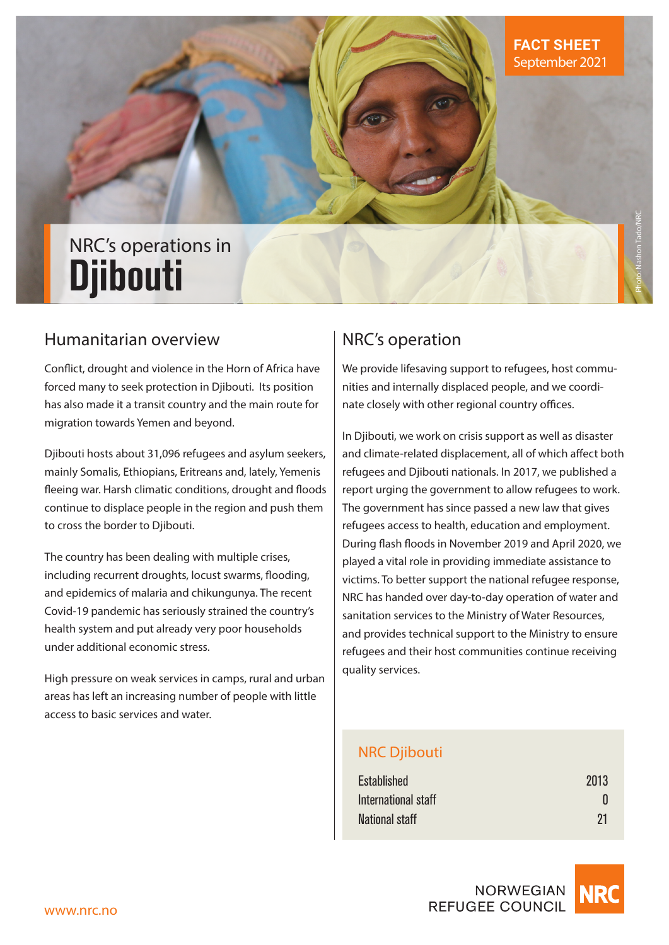# NRC's operations in **Djibouti**

## Humanitarian overview

Conflict, drought and violence in the Horn of Africa have forced many to seek protection in Djibouti. Its position has also made it a transit country and the main route for migration towards Yemen and beyond.

Djibouti hosts about 31,096 refugees and asylum seekers, mainly Somalis, Ethiopians, Eritreans and, lately, Yemenis fleeing war. Harsh climatic conditions, drought and floods continue to displace people in the region and push them to cross the border to Djibouti.

The country has been dealing with multiple crises, including recurrent droughts, locust swarms, flooding, and epidemics of malaria and chikungunya. The recent Covid-19 pandemic has seriously strained the country's health system and put already very poor households under additional economic stress.

High pressure on weak services in camps, rural and urban areas has left an increasing number of people with little access to basic services and water.

## NRC's operation

We provide lifesaving support to refugees, host communities and internally displaced people, and we coordinate closely with other regional country offices.

In Djibouti, we work on crisis support as well as disaster and climate-related displacement, all of which affect both refugees and Djibouti nationals. In 2017, we published a report urging the government to allow refugees to work. The government has since passed a new law that gives refugees access to health, education and employment. During flash floods in November 2019 and April 2020, we played a vital role in providing immediate assistance to victims. To better support the national refugee response, NRC has handed over day-to-day operation of water and sanitation services to the Ministry of Water Resources, and provides technical support to the Ministry to ensure refugees and their host communities continue receiving quality services.

## NRC Djibouti

| Established           | 2013 |
|-----------------------|------|
| International staff   |      |
| <b>National staff</b> | 21   |

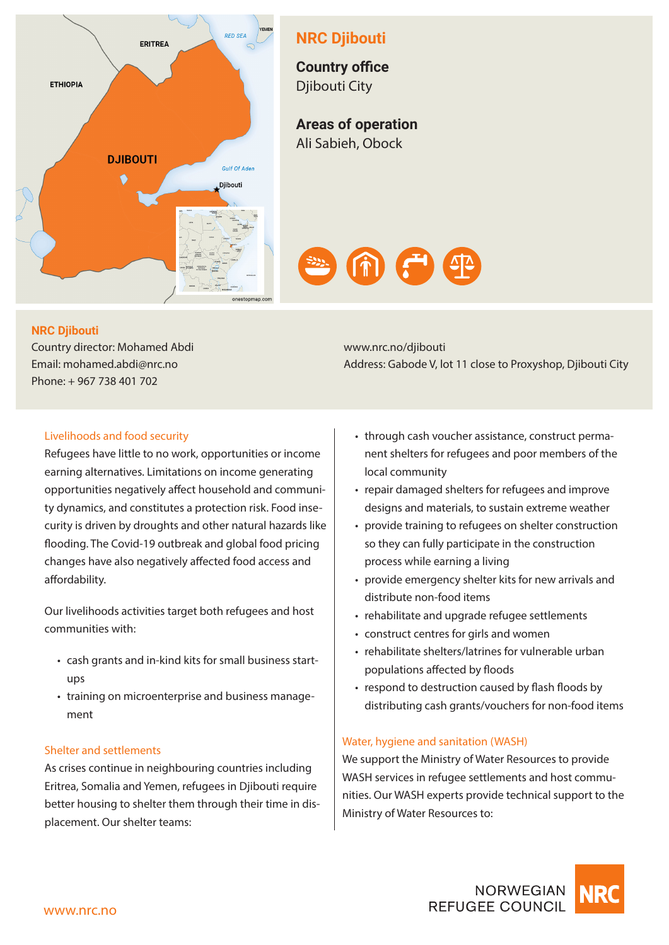

## **NRC Djibouti**

**Country office**  Djibouti City

**Areas of operation**  Ali Sabieh, Obock



### **NRC Djibouti**

Country director: Mohamed Abdi Email: mohamed.abdi@nrc.no Phone: + 967 738 401 702

Livelihoods and food security

Refugees have little to no work, opportunities or income earning alternatives. Limitations on income generating opportunities negatively affect household and community dynamics, and constitutes a protection risk. Food insecurity is driven by droughts and other natural hazards like flooding. The Covid-19 outbreak and global food pricing changes have also negatively affected food access and affordability.

Our livelihoods activities target both refugees and host communities with:

- cash grants and in-kind kits for small business startups
- training on microenterprise and business management

#### Shelter and settlements

As crises continue in neighbouring countries including Eritrea, Somalia and Yemen, refugees in Djibouti require better housing to shelter them through their time in displacement. Our shelter teams:

www.nrc.no/djibouti Address: Gabode V, lot 11 close to Proxyshop, Djibouti City

- through cash voucher assistance, construct permanent shelters for refugees and poor members of the local community
- repair damaged shelters for refugees and improve designs and materials, to sustain extreme weather
- provide training to refugees on shelter construction so they can fully participate in the construction process while earning a living
- provide emergency shelter kits for new arrivals and distribute non-food items
- rehabilitate and upgrade refugee settlements
- construct centres for girls and women
- rehabilitate shelters/latrines for vulnerable urban populations affected by floods
- respond to destruction caused by flash floods by distributing cash grants/vouchers for non-food items

#### Water, hygiene and sanitation (WASH)

We support the Ministry of Water Resources to provide WASH services in refugee settlements and host communities. Our WASH experts provide technical support to the Ministry of Water Resources to: